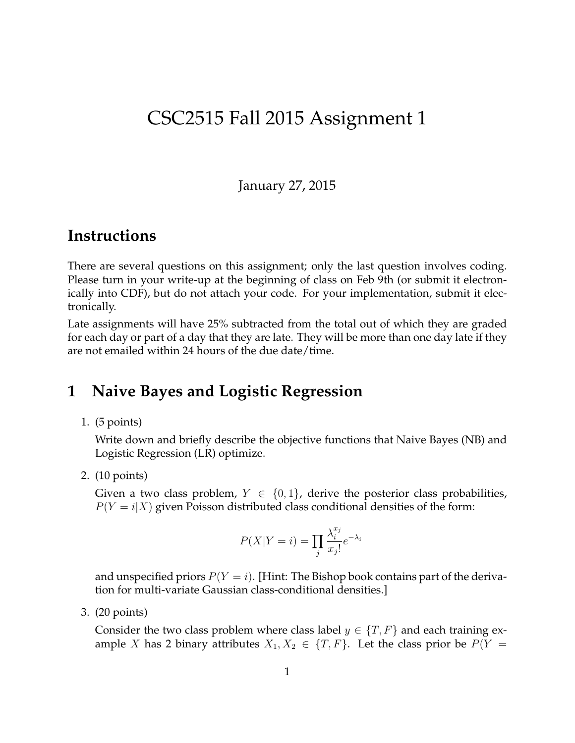# CSC2515 Fall 2015 Assignment 1

January 27, 2015

## **Instructions**

There are several questions on this assignment; only the last question involves coding. Please turn in your write-up at the beginning of class on Feb 9th (or submit it electronically into CDF), but do not attach your code. For your implementation, submit it electronically.

Late assignments will have 25% subtracted from the total out of which they are graded for each day or part of a day that they are late. They will be more than one day late if they are not emailed within 24 hours of the due date/time.

## **1 Naive Bayes and Logistic Regression**

1. (5 points)

Write down and briefly describe the objective functions that Naive Bayes (NB) and Logistic Regression (LR) optimize.

2. (10 points)

Given a two class problem,  $Y \in \{0,1\}$ , derive the posterior class probabilities,  $P(Y = i|X)$  given Poisson distributed class conditional densities of the form:

$$
P(X|Y=i) = \prod_{j} \frac{\lambda_i^{x_j}}{x_j!} e^{-\lambda_i}
$$

and unspecified priors  $P(Y = i)$ . [Hint: The Bishop book contains part of the derivation for multi-variate Gaussian class-conditional densities.]

3. (20 points)

Consider the two class problem where class label  $y \in \{T, F\}$  and each training example X has 2 binary attributes  $X_1, X_2 \in \{T, F\}$ . Let the class prior be  $P(Y =$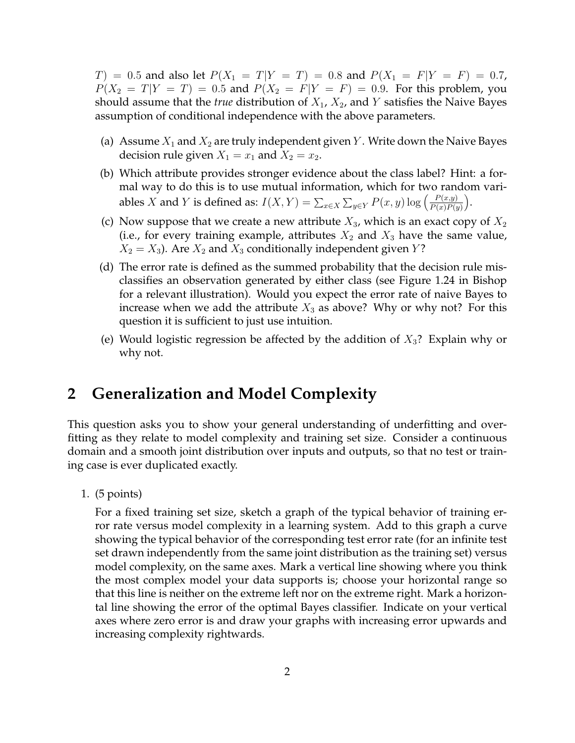$T$  = 0.5 and also let  $P(X_1 = T|Y = T) = 0.8$  and  $P(X_1 = F|Y = F) = 0.7$ ,  $P(X_2 = T|Y = T) = 0.5$  and  $P(X_2 = F|Y = F) = 0.9$ . For this problem, you should assume that the *true* distribution of  $X_1$ ,  $X_2$ , and Y satisfies the Naive Bayes assumption of conditional independence with the above parameters.

- (a) Assume  $X_1$  and  $X_2$  are truly independent given Y. Write down the Naive Bayes decision rule given  $X_1 = x_1$  and  $X_2 = x_2$ .
- (b) Which attribute provides stronger evidence about the class label? Hint: a formal way to do this is to use mutual information, which for two random variables X and Y is defined as:  $I(X,Y) = \sum_{x \in X} \sum_{y \in Y} P(x,y) \log \left( \frac{P(x,y)}{P(x)P(y)} \right)$  $P(x)P(y)$ .
- (c) Now suppose that we create a new attribute  $X_3$ , which is an exact copy of  $X_2$ (i.e., for every training example, attributes  $X_2$  and  $X_3$  have the same value,  $X_2 = X_3$ ). Are  $X_2$  and  $X_3$  conditionally independent given Y?
- (d) The error rate is defined as the summed probability that the decision rule misclassifies an observation generated by either class (see Figure 1.24 in Bishop for a relevant illustration). Would you expect the error rate of naive Bayes to increase when we add the attribute  $X_3$  as above? Why or why not? For this question it is sufficient to just use intuition.
- (e) Would logistic regression be affected by the addition of  $X_3$ ? Explain why or why not.

## **2 Generalization and Model Complexity**

This question asks you to show your general understanding of underfitting and overfitting as they relate to model complexity and training set size. Consider a continuous domain and a smooth joint distribution over inputs and outputs, so that no test or training case is ever duplicated exactly.

1. (5 points)

For a fixed training set size, sketch a graph of the typical behavior of training error rate versus model complexity in a learning system. Add to this graph a curve showing the typical behavior of the corresponding test error rate (for an infinite test set drawn independently from the same joint distribution as the training set) versus model complexity, on the same axes. Mark a vertical line showing where you think the most complex model your data supports is; choose your horizontal range so that this line is neither on the extreme left nor on the extreme right. Mark a horizontal line showing the error of the optimal Bayes classifier. Indicate on your vertical axes where zero error is and draw your graphs with increasing error upwards and increasing complexity rightwards.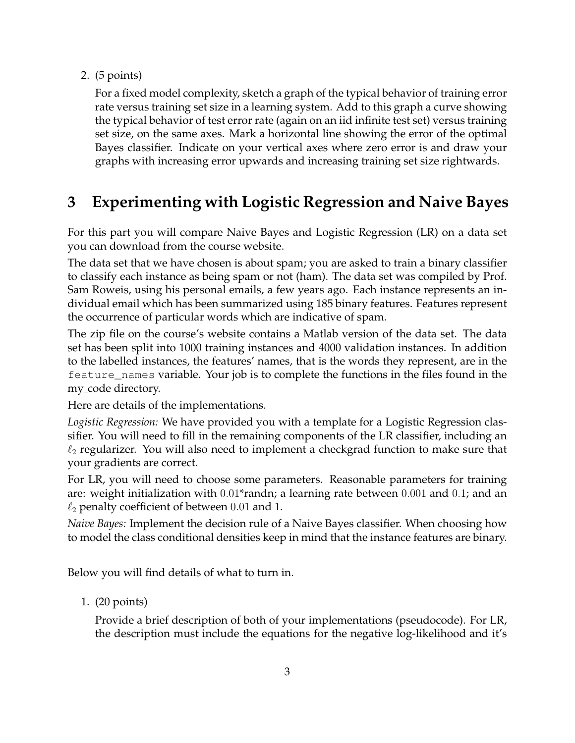#### 2. (5 points)

For a fixed model complexity, sketch a graph of the typical behavior of training error rate versus training set size in a learning system. Add to this graph a curve showing the typical behavior of test error rate (again on an iid infinite test set) versus training set size, on the same axes. Mark a horizontal line showing the error of the optimal Bayes classifier. Indicate on your vertical axes where zero error is and draw your graphs with increasing error upwards and increasing training set size rightwards.

# **3 Experimenting with Logistic Regression and Naive Bayes**

For this part you will compare Naive Bayes and Logistic Regression (LR) on a data set you can download from the course website.

The data set that we have chosen is about spam; you are asked to train a binary classifier to classify each instance as being spam or not (ham). The data set was compiled by Prof. Sam Roweis, using his personal emails, a few years ago. Each instance represents an individual email which has been summarized using 185 binary features. Features represent the occurrence of particular words which are indicative of spam.

The zip file on the course's website contains a Matlab version of the data set. The data set has been split into 1000 training instances and 4000 validation instances. In addition to the labelled instances, the features' names, that is the words they represent, are in the feature\_names variable. Your job is to complete the functions in the files found in the my code directory.

Here are details of the implementations.

*Logistic Regression:* We have provided you with a template for a Logistic Regression classifier. You will need to fill in the remaining components of the LR classifier, including an  $\ell_2$  regularizer. You will also need to implement a checkgrad function to make sure that your gradients are correct.

For LR, you will need to choose some parameters. Reasonable parameters for training are: weight initialization with 0.01\*randn; a learning rate between 0.001 and 0.1; and an  $\ell_2$  penalty coefficient of between 0.01 and 1.

*Naive Bayes:* Implement the decision rule of a Naive Bayes classifier. When choosing how to model the class conditional densities keep in mind that the instance features are binary.

Below you will find details of what to turn in.

1. (20 points)

Provide a brief description of both of your implementations (pseudocode). For LR, the description must include the equations for the negative log-likelihood and it's